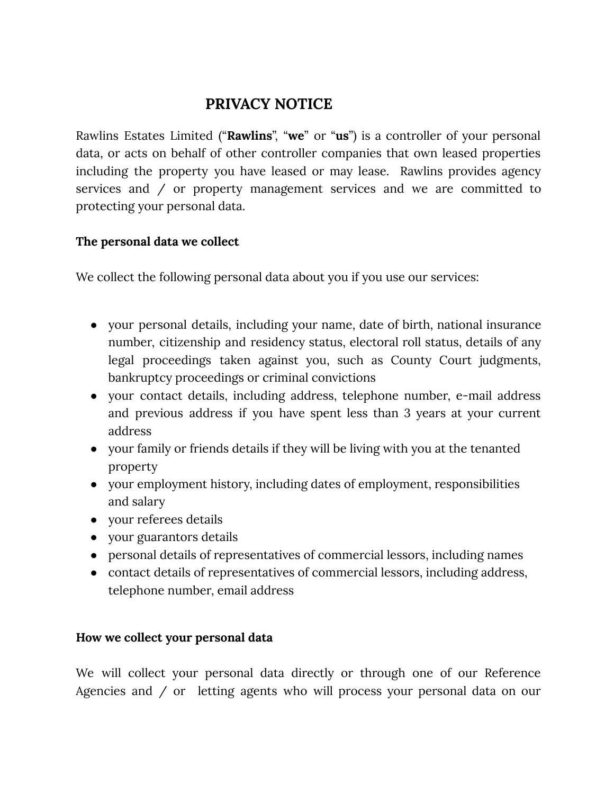# **PRIVACY NOTICE**

Rawlins Estates Limited ("**Rawlins**", "**we**" or "**us**") is a controller of your personal data, or acts on behalf of other controller companies that own leased properties including the property you have leased or may lease. Rawlins provides agency services and / or property management services and we are committed to protecting your personal data.

### **The personal data we collect**

We collect the following personal data about you if you use our services:

- your personal details, including your name, date of birth, national insurance number, citizenship and residency status, electoral roll status, details of any legal proceedings taken against you, such as County Court judgments, bankruptcy proceedings or criminal convictions
- your contact details, including address, telephone number, e-mail address and previous address if you have spent less than 3 years at your current address
- your family or friends details if they will be living with you at the tenanted property
- your employment history, including dates of employment, responsibilities and salary
- your referees details
- your guarantors details
- personal details of representatives of commercial lessors, including names
- contact details of representatives of commercial lessors, including address, telephone number, email address

#### **How we collect your personal data**

We will collect your personal data directly or through one of our Reference Agencies and / or letting agents who will process your personal data on our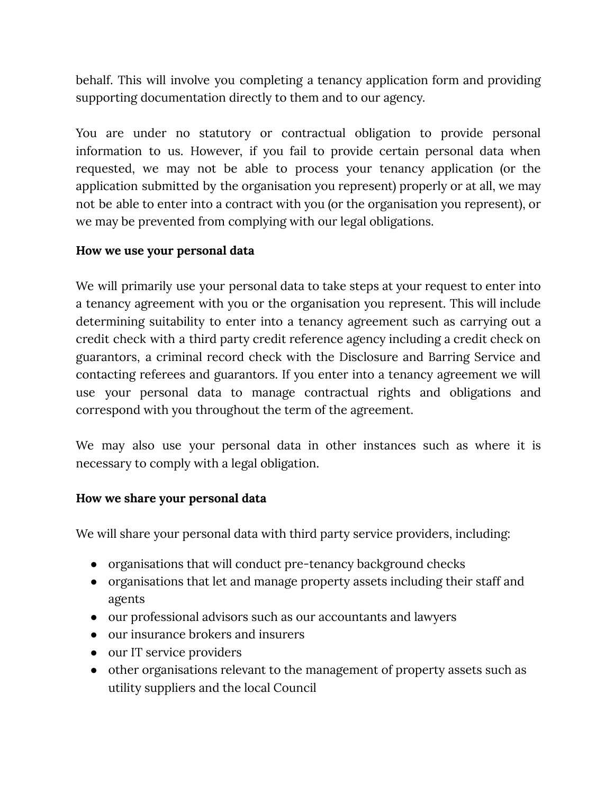behalf. This will involve you completing a tenancy application form and providing supporting documentation directly to them and to our agency.

You are under no statutory or contractual obligation to provide personal information to us. However, if you fail to provide certain personal data when requested, we may not be able to process your tenancy application (or the application submitted by the organisation you represent) properly or at all, we may not be able to enter into a contract with you (or the organisation you represent), or we may be prevented from complying with our legal obligations.

### **How we use your personal data**

We will primarily use your personal data to take steps at your request to enter into a tenancy agreement with you or the organisation you represent. This will include determining suitability to enter into a tenancy agreement such as carrying out a credit check with a third party credit reference agency including a credit check on guarantors, a criminal record check with the Disclosure and Barring Service and contacting referees and guarantors. If you enter into a tenancy agreement we will use your personal data to manage contractual rights and obligations and correspond with you throughout the term of the agreement.

We may also use your personal data in other instances such as where it is necessary to comply with a legal obligation.

#### **How we share your personal data**

We will share your personal data with third party service providers, including:

- organisations that will conduct pre-tenancy background checks
- organisations that let and manage property assets including their staff and agents
- our professional advisors such as our accountants and lawyers
- our insurance brokers and insurers
- our IT service providers
- other organisations relevant to the management of property assets such as utility suppliers and the local Council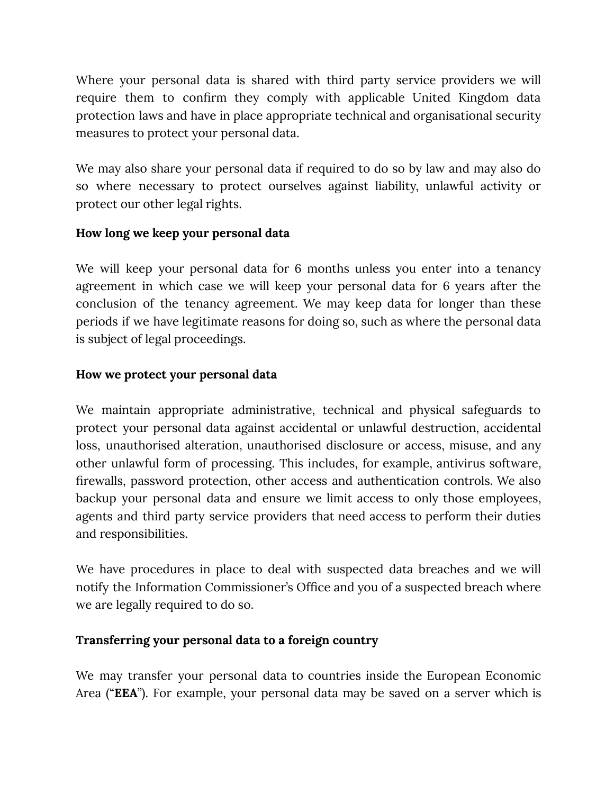Where your personal data is shared with third party service providers we will require them to confirm they comply with applicable United Kingdom data protection laws and have in place appropriate technical and organisational security measures to protect your personal data.

We may also share your personal data if required to do so by law and may also do so where necessary to protect ourselves against liability, unlawful activity or protect our other legal rights.

### **How long we keep your personal data**

We will keep your personal data for 6 months unless you enter into a tenancy agreement in which case we will keep your personal data for 6 years after the conclusion of the tenancy agreement. We may keep data for longer than these periods if we have legitimate reasons for doing so, such as where the personal data is subject of legal proceedings.

# **How we protect your personal data**

We maintain appropriate administrative, technical and physical safeguards to protect your personal data against accidental or unlawful destruction, accidental loss, unauthorised alteration, unauthorised disclosure or access, misuse, and any other unlawful form of processing. This includes, for example, antivirus software, firewalls, password protection, other access and authentication controls. We also backup your personal data and ensure we limit access to only those employees, agents and third party service providers that need access to perform their duties and responsibilities.

We have procedures in place to deal with suspected data breaches and we will notify the Information Commissioner's Office and you of a suspected breach where we are legally required to do so.

# **Transferring your personal data to a foreign country**

We may transfer your personal data to countries inside the European Economic Area ("**EEA**"). For example, your personal data may be saved on a server which is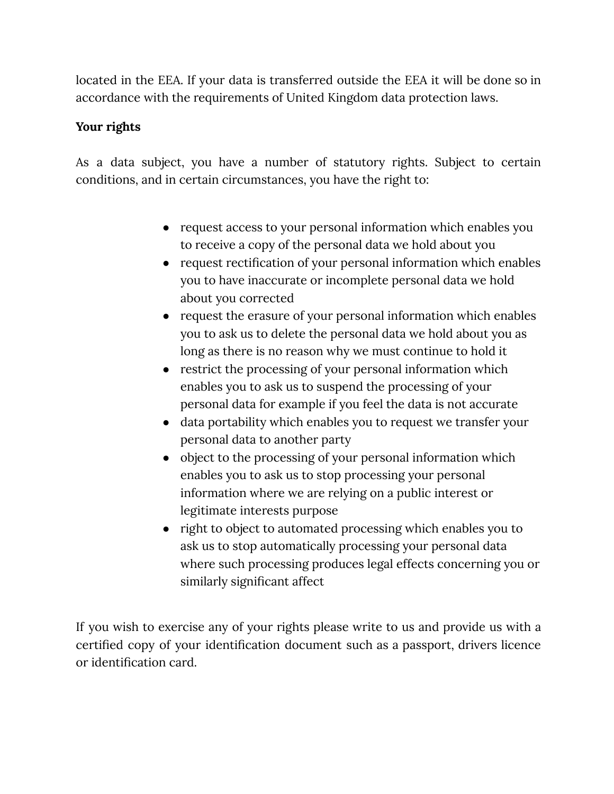located in the EEA. If your data is transferred outside the EEA it will be done so in accordance with the requirements of United Kingdom data protection laws.

# **Your rights**

As a data subject, you have a number of statutory rights. Subject to certain conditions, and in certain circumstances, you have the right to:

- request access to your personal information which enables you to receive a copy of the personal data we hold about you
- request rectification of your personal information which enables you to have inaccurate or incomplete personal data we hold about you corrected
- request the erasure of your personal information which enables you to ask us to delete the personal data we hold about you as long as there is no reason why we must continue to hold it
- restrict the processing of your personal information which enables you to ask us to suspend the processing of your personal data for example if you feel the data is not accurate
- data portability which enables you to request we transfer your personal data to another party
- object to the processing of your personal information which enables you to ask us to stop processing your personal information where we are relying on a public interest or legitimate interests purpose
- right to object to automated processing which enables you to ask us to stop automatically processing your personal data where such processing produces legal effects concerning you or similarly significant affect

If you wish to exercise any of your rights please write to us and provide us with a certified copy of your identification document such as a passport, drivers licence or identification card.